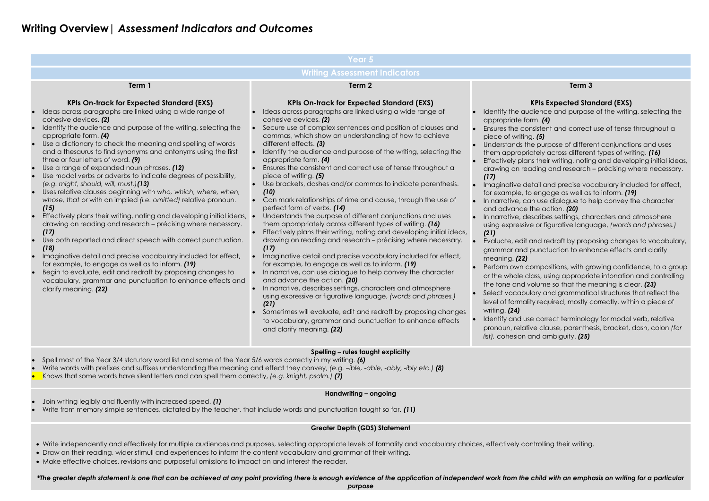## **Writing Overview|** *Assessment Indicators and Outcomes*

ence and purpose of the writing, selecting the appropriate form. *(4)*

istent and correct use of tense throughout a piece of writing. *(5)*

purpose of different conjunctions and uses

ely across different types of writing. *(16)* 

their writing, noting and developing initial ideas,

ling and research – précising where necessary.

ail and precise vocabulary included for effect, engage as well as to inform. *(19)* 

use dialogue to help convey the character e action. **(20)** 

cribes settings, characters and atmosphere using expressive or figurative language, *(words and phrases.)* 

Id redraft by proposing changes to vocabulary, unctuation to enhance effects and clarify

mpositions, with growing confidence, to a group ss, using appropriate intonation and controlling tume so that the meaning is clear. **(23)** ry and grammatical structures that reflect the required, mostly correctly, within a piece of

correct terminology for modal verb, relative  $p$  clause, parenthesis, bracket, dash, colon *(for list),* cohesion and ambiguity. *(25)*

| Year 5                                                                                                                                                                                                                                                                                                                                                                                                                                                                                                                                                                                                                                                                                                                                                                                                                                                                                                                                                                                                                                                                                                                                                                                                              |                                                                                                                                                                                                                                                                                                                                                                                                                                                                                                                                                                                                                                                                                                                                                                                                                                                                                                                                                                                                                                                                                                                                                                                                                                                                                                                                                                                                                                                                                                 |                                                                                                                                                                                                                                                                                                                                                                                                                                                                                                                                                                         |  |  |  |  |  |
|---------------------------------------------------------------------------------------------------------------------------------------------------------------------------------------------------------------------------------------------------------------------------------------------------------------------------------------------------------------------------------------------------------------------------------------------------------------------------------------------------------------------------------------------------------------------------------------------------------------------------------------------------------------------------------------------------------------------------------------------------------------------------------------------------------------------------------------------------------------------------------------------------------------------------------------------------------------------------------------------------------------------------------------------------------------------------------------------------------------------------------------------------------------------------------------------------------------------|-------------------------------------------------------------------------------------------------------------------------------------------------------------------------------------------------------------------------------------------------------------------------------------------------------------------------------------------------------------------------------------------------------------------------------------------------------------------------------------------------------------------------------------------------------------------------------------------------------------------------------------------------------------------------------------------------------------------------------------------------------------------------------------------------------------------------------------------------------------------------------------------------------------------------------------------------------------------------------------------------------------------------------------------------------------------------------------------------------------------------------------------------------------------------------------------------------------------------------------------------------------------------------------------------------------------------------------------------------------------------------------------------------------------------------------------------------------------------------------------------|-------------------------------------------------------------------------------------------------------------------------------------------------------------------------------------------------------------------------------------------------------------------------------------------------------------------------------------------------------------------------------------------------------------------------------------------------------------------------------------------------------------------------------------------------------------------------|--|--|--|--|--|
| <b>Writing Assessment Indicators</b>                                                                                                                                                                                                                                                                                                                                                                                                                                                                                                                                                                                                                                                                                                                                                                                                                                                                                                                                                                                                                                                                                                                                                                                |                                                                                                                                                                                                                                                                                                                                                                                                                                                                                                                                                                                                                                                                                                                                                                                                                                                                                                                                                                                                                                                                                                                                                                                                                                                                                                                                                                                                                                                                                                 |                                                                                                                                                                                                                                                                                                                                                                                                                                                                                                                                                                         |  |  |  |  |  |
| Term 1                                                                                                                                                                                                                                                                                                                                                                                                                                                                                                                                                                                                                                                                                                                                                                                                                                                                                                                                                                                                                                                                                                                                                                                                              | Term <sub>2</sub>                                                                                                                                                                                                                                                                                                                                                                                                                                                                                                                                                                                                                                                                                                                                                                                                                                                                                                                                                                                                                                                                                                                                                                                                                                                                                                                                                                                                                                                                               |                                                                                                                                                                                                                                                                                                                                                                                                                                                                                                                                                                         |  |  |  |  |  |
| <b>KPIs On-track for Expected Standard (EXS)</b><br>Ideas across paragraphs are linked using a wide range of<br>cohesive devices. (2)<br>Identify the audience and purpose of the writing, selecting the<br>appropriate form. (4)<br>Use a dictionary to check the meaning and spelling of words<br>and a thesaurus to find synonyms and antonyms using the first<br>three or four letters of word. (9)<br>Use a range of expanded noun phrases. (12)<br>Use modal verbs or adverbs to indicate degrees of possibility,<br>(e.g. might, should, will, must.)(13)<br>Uses relative clauses beginning with who, which, where, when,<br>whose, that or with an implied (i.e. omitted) relative pronoun.<br>(15)<br>Effectively plans their writing, noting and developing initial ideas,<br>drawing on reading and research - précising where necessary.<br>(17)<br>Use both reported and direct speech with correct punctuation.<br>(18)<br>Imaginative detail and precise vocabulary included for effect,<br>for example, to engage as well as to inform. (19)<br>Begin to evaluate, edit and redraft by proposing changes to<br>vocabulary, grammar and punctuation to enhance effects and<br>clarify meaning. (22) | <b>KPIs On-track for Expected Standard (EXS)</b><br>Ideas across paragraphs are linked using a wide range of<br>cohesive devices. (2)<br>Secure use of complex sentences and position of clauses and<br>commas, which show an understanding of how to achieve<br>different effects. (3)<br>Identify the audience and purpose of the writing, selecting the<br>appropriate form. (4)<br>Ensures the consistent and correct use of tense throughout a<br>piece of writing. (5)<br>Use brackets, dashes and/or commas to indicate parenthesis.<br>(10)<br>Can mark relationships of rime and cause, through the use of<br>perfect form of verbs. (14)<br>Understands the purpose of different conjunctions and uses<br>them appropriately across different types of writing. (16)<br>Effectively plans their writing, noting and developing initial ideas,<br>drawing on reading and research - précising where necessary.<br>(17)<br>Imaginative detail and precise vocabulary included for effect,<br>for example, to engage as well as to inform. (19)<br>In narrative, can use dialogue to help convey the character<br>and advance the action. (20)<br>In narrative, describes settings, characters and atmosphere<br>using expressive or figurative language, (words and phrases.)<br>(21)<br>Sometimes will evaluate, edit and redraft by proposing changes<br>to vocabulary, grammar and punctuation to enhance effects<br>and clarify meaning. (22)<br>Spelling - rules taught explicitly | K<br>Identify the audi<br>appropriate forn<br>Ensures the cons<br>piece of writing.<br>Understands the<br>them appropriat<br><b>Effectively plans</b><br>drawing on reac<br>(17)<br>Imaginative dete<br>for example, to $\epsilon$<br>In narrative, can<br>and advance th<br>In narrative, dese<br>using expressive<br>(21)<br>Evaluate, edit ar<br>grammar and pt<br>meaning. (22)<br>Perform own cor<br>or the whole clas<br>the tone and vo<br>Select vocabula<br>level of formality<br>writing. (24)<br>Identify and use<br>pronoun, relative<br>list), cohesion an |  |  |  |  |  |
|                                                                                                                                                                                                                                                                                                                                                                                                                                                                                                                                                                                                                                                                                                                                                                                                                                                                                                                                                                                                                                                                                                                                                                                                                     |                                                                                                                                                                                                                                                                                                                                                                                                                                                                                                                                                                                                                                                                                                                                                                                                                                                                                                                                                                                                                                                                                                                                                                                                                                                                                                                                                                                                                                                                                                 |                                                                                                                                                                                                                                                                                                                                                                                                                                                                                                                                                                         |  |  |  |  |  |

## **Term 3**

## **KPIs Expected Standard (EXS)**

- Spell most of the Year 3/4 statutory word list and some of the Year 5/6 words correctly in my writing. *(6)*
- Write words with prefixes and suffixes understanding the meaning and effect they convey, *(e.g. –ible, -able, -ably, -ibly etc.) (8)*
- Knows that some words have silent letters and can spell them correctly, *(e.g. knight, psalm.) (7)*

## **Handwriting – ongoing**

- Join writing legibly and fluently with increased speed. *(1)*
- Write from memory simple sentences, dictated by the teacher, that include words and punctuation taught so far. *(11)*

## **Greater Depth (GDS) Statement**

- Write independently and effectively for multiple audiences and purposes, selecting appropriate levels of formality and vocabulary choices, effectively controlling their writing.
- Draw on their reading, wider stimuli and experiences to inform the content vocabulary and grammar of their writing.
- Make effective choices, revisions and purposeful omissions to impact on and interest the reader.

*\*The greater depth statement is one that can be achieved at any point providing there is enough evidence of the application of independent work from the child with an emphasis on writing for a particular* 

*purpose*